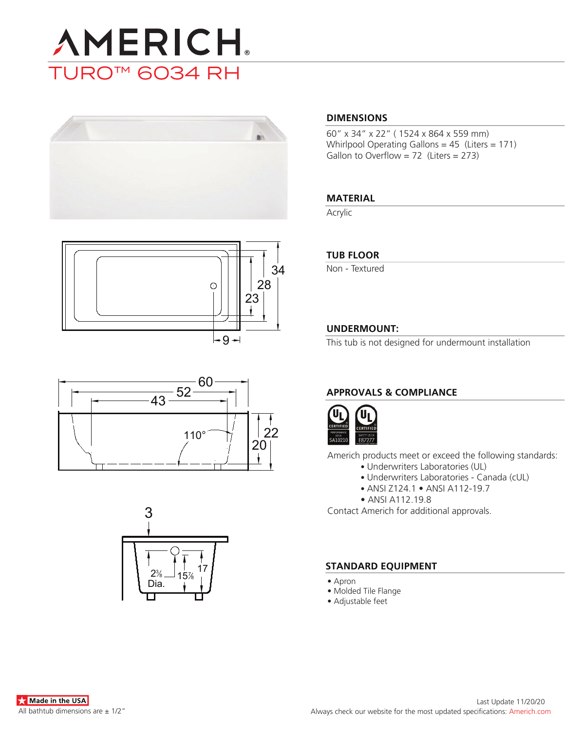









### **DIMENSIONS**

60" x 34" x 22" ( 1524 x 864 x 559 mm) Whirlpool Operating Gallons = 45 (Liters = 171) Gallon to Overflow =  $72$  (Liters = 273)

### **MATERIAL**

Acrylic

### **TUB FLOOR**

Non - Textured

### **UNDERMOUNT:**

This tub is not designed for undermount installation

## **APPROVALS & COMPLIANCE**



Americh products meet or exceed the following standards:

- Underwriters Laboratories (UL)
	- Underwriters Laboratories Canada (cUL)
	- ANSI Z124.1 ANSI A112-19.7
- ANSI A112.19.8

Contact Americh for additional approvals.

### **STANDARD EQUIPMENT**

- Apron
- Molded Tile Flange
- Adjustable feet